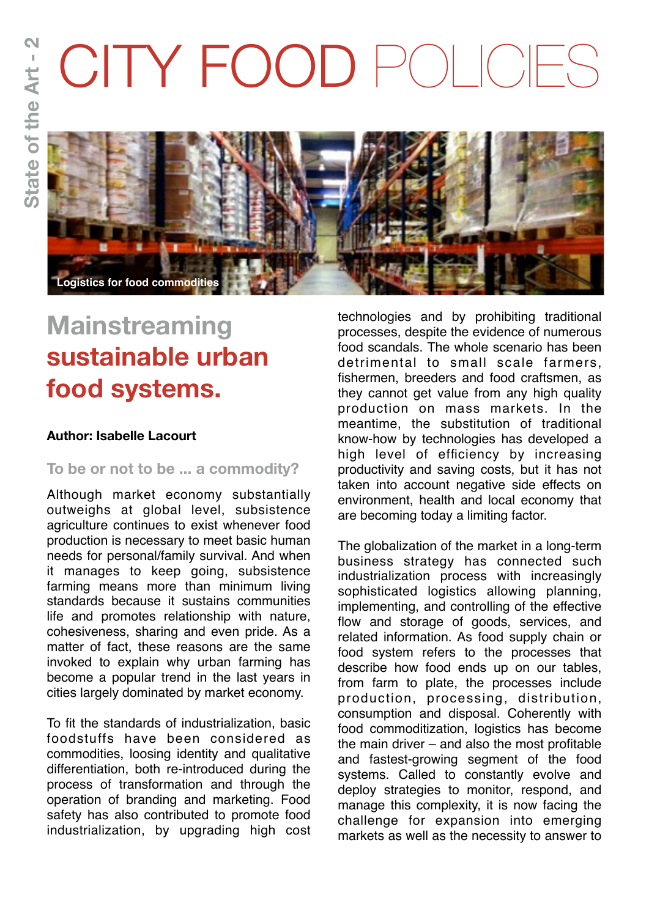# CITY FOOD POLICIES



# **Mainstreaming sustainable urban food systems.**

### **Author: Isabelle Lacourt**

## **To be or not to be ... a commodity?**

Although market economy substantially outweighs at global level, subsistence agriculture continues to exist whenever food production is necessary to meet basic human needs for personal/family survival. And when it manages to keep going, subsistence farming means more than minimum living standards because it sustains communities life and promotes relationship with nature, cohesiveness, sharing and even pride. As a matter of fact, these reasons are the same invoked to explain why urban farming has become a popular trend in the last years in cities largely dominated by market economy.

To fit the standards of industrialization, basic foodstuffs have been considered as commodities, loosing identity and qualitative differentiation, both re-introduced during the process of transformation and through the operation of branding and marketing. Food safety has also contributed to promote food industrialization, by upgrading high cost

technologies and by prohibiting traditional processes, despite the evidence of numerous food scandals. The whole scenario has been detrimental to small scale farmers, fishermen, breeders and food craftsmen, as they cannot get value from any high quality production on mass markets. In the meantime, the substitution of traditional know-how by technologies has developed a high level of efficiency by increasing productivity and saving costs, but it has not taken into account negative side effects on environment, health and local economy that are becoming today a limiting factor.

The globalization of the market in a long-term business strategy has connected such industrialization process with increasingly sophisticated logistics allowing planning, implementing, and controlling of the effective flow and storage of goods, services, and related information. As food supply chain or food system refers to the processes that describe how food ends up on our tables, from farm to plate, the processes include production, processing, distribution, consumption and disposal. Coherently with food commoditization, logistics has become the main driver – and also the most profitable and fastest-growing segment of the food systems. Called to constantly evolve and deploy strategies to monitor, respond, and manage this complexity, it is now facing the challenge for expansion into emerging markets as well as the necessity to answer to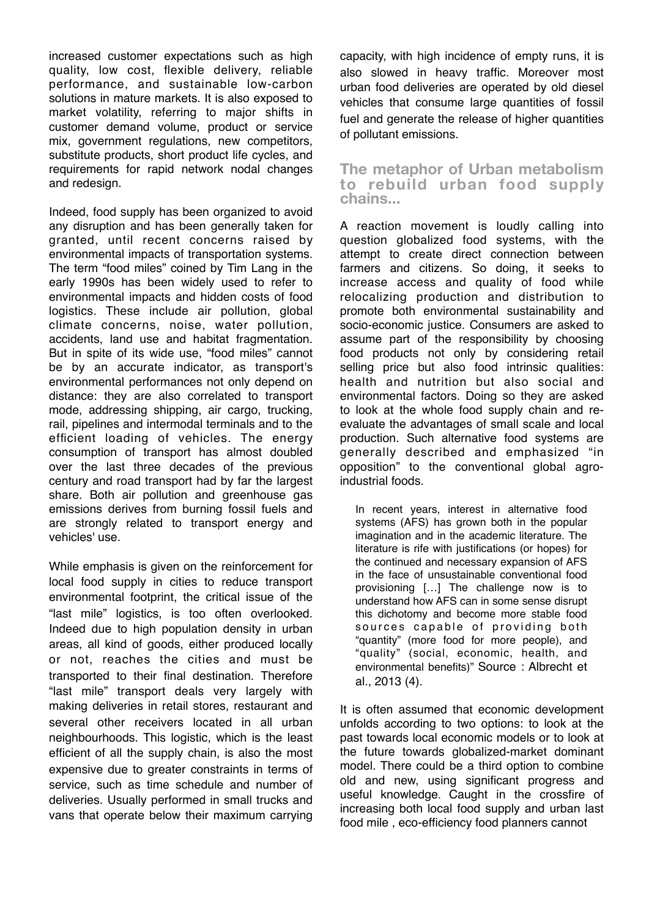increased customer expectations such as high quality, low cost, flexible delivery, reliable performance, and sustainable low-carbon solutions in mature markets. It is also exposed to market volatility, referring to major shifts in customer demand volume, product or service mix, government regulations, new competitors, substitute products, short product life cycles, and requirements for rapid network nodal changes and redesign.

Indeed, food supply has been organized to avoid any disruption and has been generally taken for granted, until recent concerns raised by environmental impacts of transportation systems. The term "food miles" coined by Tim Lang in the early 1990s has been widely used to refer to environmental impacts and hidden costs of food logistics. These include air pollution, global climate concerns, noise, water pollution, accidents, land use and habitat fragmentation. But in spite of its wide use, "food miles" cannot be by an accurate indicator, as transport's environmental performances not only depend on distance: they are also correlated to transport mode, addressing shipping, air cargo, trucking, rail, pipelines and intermodal terminals and to the efficient loading of vehicles. The energy consumption of transport has almost doubled over the last three decades of the previous century and road transport had by far the largest share. Both air pollution and greenhouse gas emissions derives from burning fossil fuels and are strongly related to transport energy and vehicles' use.

While emphasis is given on the reinforcement for local food supply in cities to reduce transport environmental footprint, the critical issue of the "last mile" logistics, is too often overlooked. Indeed due to high population density in urban areas, all kind of goods, either produced locally or not, reaches the cities and must be transported to their final destination. Therefore "last mile" transport deals very largely with making deliveries in retail stores, restaurant and several other receivers located in all urban neighbourhoods. This logistic, which is the least efficient of all the supply chain, is also the most expensive due to greater constraints in terms of service, such as time schedule and number of deliveries. Usually performed in small trucks and vans that operate below their maximum carrying

capacity, with high incidence of empty runs, it is also slowed in heavy traffic. Moreover most urban food deliveries are operated by old diesel vehicles that consume large quantities of fossil fuel and generate the release of higher quantities of pollutant emissions.

#### **The metaphor of Urban metabolism to rebuild urban food supply chains...**

A reaction movement is loudly calling into question globalized food systems, with the attempt to create direct connection between farmers and citizens. So doing, it seeks to increase access and quality of food while relocalizing production and distribution to promote both environmental sustainability and socio-economic justice. Consumers are asked to assume part of the responsibility by choosing food products not only by considering retail selling price but also food intrinsic qualities: health and nutrition but also social and environmental factors. Doing so they are asked to look at the whole food supply chain and reevaluate the advantages of small scale and local production. Such alternative food systems are generally described and emphasized "in opposition" to the conventional global agroindustrial foods.

In recent years, interest in alternative food systems (AFS) has grown both in the popular imagination and in the academic literature. The literature is rife with justifications (or hopes) for the continued and necessary expansion of AFS in the face of unsustainable conventional food provisioning […] The challenge now is to understand how AFS can in some sense disrupt this dichotomy and become more stable food sources capable of providing both "quantity" (more food for more people), and "quality" (social, economic, health, and environmental benefits)" Source : Albrecht et al., 2013 (4).

It is often assumed that economic development unfolds according to two options: to look at the past towards local economic models or to look at the future towards globalized-market dominant model. There could be a third option to combine old and new, using significant progress and useful knowledge. Caught in the crossfire of increasing both local food supply and urban last food mile , eco-efficiency food planners cannot